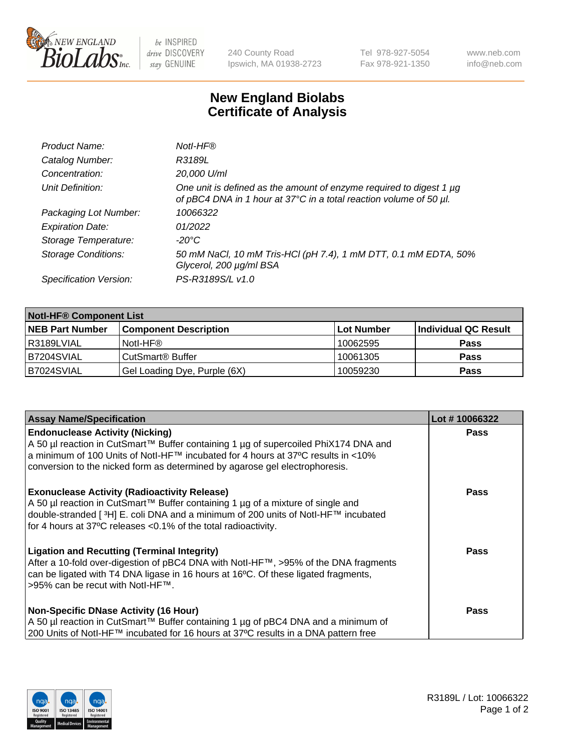

be INSPIRED drive DISCOVERY stay GENUINE

240 County Road Ipswich, MA 01938-2723 Tel 978-927-5054 Fax 978-921-1350 www.neb.com info@neb.com

## **New England Biolabs Certificate of Analysis**

| Product Name:              | Notl-HF®                                                                                                                                  |
|----------------------------|-------------------------------------------------------------------------------------------------------------------------------------------|
| Catalog Number:            | R3189L                                                                                                                                    |
| Concentration:             | 20,000 U/ml                                                                                                                               |
| Unit Definition:           | One unit is defined as the amount of enzyme required to digest 1 µg<br>of pBC4 DNA in 1 hour at 37°C in a total reaction volume of 50 µl. |
| Packaging Lot Number:      | 10066322                                                                                                                                  |
| <b>Expiration Date:</b>    | 01/2022                                                                                                                                   |
| Storage Temperature:       | $-20^{\circ}$ C                                                                                                                           |
| <b>Storage Conditions:</b> | 50 mM NaCl, 10 mM Tris-HCl (pH 7.4), 1 mM DTT, 0.1 mM EDTA, 50%<br>Glycerol, 200 µg/ml BSA                                                |
| Specification Version:     | PS-R3189S/L v1.0                                                                                                                          |

| <b>Notl-HF® Component List</b> |                              |            |                      |  |  |
|--------------------------------|------------------------------|------------|----------------------|--|--|
| <b>NEB Part Number</b>         | <b>Component Description</b> | Lot Number | Individual QC Result |  |  |
| l R3189LVIAL                   | Notl-HF®                     | 10062595   | <b>Pass</b>          |  |  |
| IB7204SVIAL                    | CutSmart <sup>®</sup> Buffer | 10061305   | <b>Pass</b>          |  |  |
| B7024SVIAL                     | Gel Loading Dye, Purple (6X) | 10059230   | <b>Pass</b>          |  |  |

| <b>Assay Name/Specification</b>                                                     | Lot #10066322 |
|-------------------------------------------------------------------------------------|---------------|
| <b>Endonuclease Activity (Nicking)</b>                                              | <b>Pass</b>   |
| A 50 µl reaction in CutSmart™ Buffer containing 1 µg of supercoiled PhiX174 DNA and |               |
| a minimum of 100 Units of Notl-HF™ incubated for 4 hours at 37°C results in <10%    |               |
| conversion to the nicked form as determined by agarose gel electrophoresis.         |               |
| <b>Exonuclease Activity (Radioactivity Release)</b>                                 | Pass          |
| A 50 µl reaction in CutSmart™ Buffer containing 1 µg of a mixture of single and     |               |
| double-stranded [3H] E. coli DNA and a minimum of 200 units of Notl-HF™ incubated   |               |
| for 4 hours at 37°C releases <0.1% of the total radioactivity.                      |               |
| <b>Ligation and Recutting (Terminal Integrity)</b>                                  | <b>Pass</b>   |
| After a 10-fold over-digestion of pBC4 DNA with Notl-HF™, >95% of the DNA fragments |               |
| can be ligated with T4 DNA ligase in 16 hours at 16°C. Of these ligated fragments,  |               |
| >95% can be recut with Notl-HF™.                                                    |               |
| <b>Non-Specific DNase Activity (16 Hour)</b>                                        | <b>Pass</b>   |
| A 50 µl reaction in CutSmart™ Buffer containing 1 µg of pBC4 DNA and a minimum of   |               |
| 200 Units of Notl-HF™ incubated for 16 hours at 37°C results in a DNA pattern free  |               |